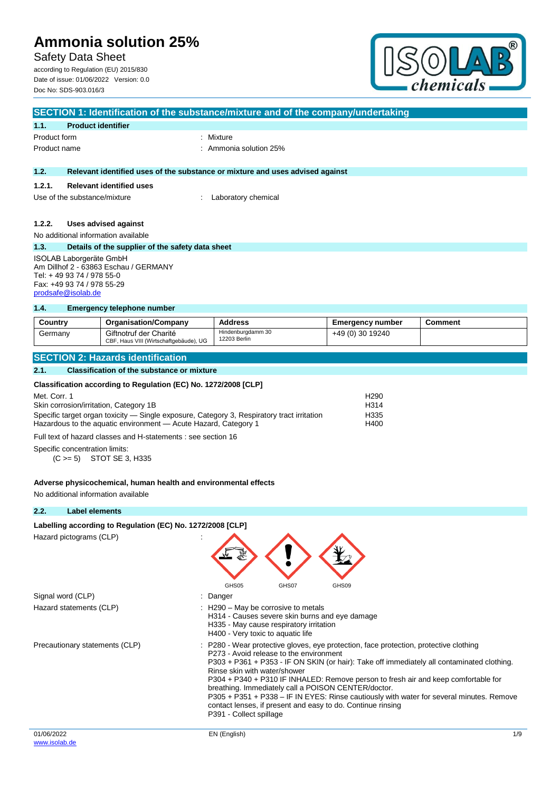Safety Data Sheet

according to Regulation (EU) 2015/830 Date of issue: 01/06/2022 Version: 0.0 Doc No: SDS-903.016/3



|              |                                                                                                                                                          | SECTION 1: Identification of the substance/mixture and of the company/undertaking |
|--------------|----------------------------------------------------------------------------------------------------------------------------------------------------------|-----------------------------------------------------------------------------------|
| 1.1.         | <b>Product identifier</b>                                                                                                                                |                                                                                   |
| Product form |                                                                                                                                                          | : Mixture                                                                         |
| Product name |                                                                                                                                                          | $:$ Ammonia solution 25%                                                          |
| 1.2.         |                                                                                                                                                          | Relevant identified uses of the substance or mixture and uses advised against     |
| 1.2.1.       | <b>Relevant identified uses</b>                                                                                                                          |                                                                                   |
|              | Use of the substance/mixture                                                                                                                             | Laboratory chemical                                                               |
| 1.2.2.       | Uses advised against                                                                                                                                     |                                                                                   |
|              | No additional information available                                                                                                                      |                                                                                   |
| 1.3.         | Details of the supplier of the safety data sheet                                                                                                         |                                                                                   |
|              | <b>ISOLAB Laborgeräte GmbH</b><br>Am Dillhof 2 - 63863 Eschau / GERMANY<br>Tel: +49 93 74 / 978 55-0<br>Fax: +49 93 74 / 978 55-29<br>prodsafe@isolab.de |                                                                                   |
| 1.4.         | <b>Emergency telephone number</b>                                                                                                                        |                                                                                   |
|              |                                                                                                                                                          | .                                                                                 |

| Country | <b>Organisation/Company</b>                                      | Address                           | <b>Emergency number</b> | <b>Comment</b> |
|---------|------------------------------------------------------------------|-----------------------------------|-------------------------|----------------|
| Germanv | Giftnotruf der Charité<br>CBF, Haus VIII (Wirtschaftgebäude), UG | Hindenburgdamm 30<br>12203 Berlin | +49 (0) 30 19240        |                |

## **SECTION 2: Hazards identification**

### **2.1. Classification of the substance or mixture**

## **Classification according to Regulation (EC) No. 1272/2008 [CLP]**

| Met. Corr. 1                                                                               | H <sub>290</sub> |
|--------------------------------------------------------------------------------------------|------------------|
| Skin corrosion/irritation, Category 1B                                                     | H314             |
| Specific target organ toxicity — Single exposure, Category 3, Respiratory tract irritation | H335             |
| Hazardous to the aquatic environment - Acute Hazard, Category 1                            | H400             |
|                                                                                            |                  |

Full text of hazard classes and H-statements : see section 16

Specific concentration limits:

(C >= 5) STOT SE 3, H335

#### **Adverse physicochemical, human health and environmental effects**

No additional information available

## **2.2. Label elements**

## Labelling according to Regulation (EC) No. 1272/2008 [CLP]

Hazard pictograms (CLP) in the set of the set of the set of the set of the set of the set of the set of the set of the set of the set of the set of the set of the set of the set of the set of the set of the set of the set

| Signal word (CLP)              | GHS05<br>GHS07<br>GHS09<br>: Danger                                                                                                                                                                                                                                                                                                                                                                                                                                                                                                                                                               |  |
|--------------------------------|---------------------------------------------------------------------------------------------------------------------------------------------------------------------------------------------------------------------------------------------------------------------------------------------------------------------------------------------------------------------------------------------------------------------------------------------------------------------------------------------------------------------------------------------------------------------------------------------------|--|
|                                |                                                                                                                                                                                                                                                                                                                                                                                                                                                                                                                                                                                                   |  |
| Hazard statements (CLP)        | $\therefore$ H290 – May be corrosive to metals<br>H314 - Causes severe skin burns and eye damage<br>H335 - May cause respiratory irritation<br>H400 - Very toxic to aquatic life                                                                                                                                                                                                                                                                                                                                                                                                                  |  |
| Precautionary statements (CLP) | : P280 - Wear protective gloves, eye protection, face protection, protective clothing<br>P273 - Avoid release to the environment<br>P303 + P361 + P353 - IF ON SKIN (or hair): Take off immediately all contaminated clothing.<br>Rinse skin with water/shower<br>P304 + P340 + P310 IF INHALED: Remove person to fresh air and keep comfortable for<br>breathing. Immediately call a POISON CENTER/doctor.<br>P305 + P351 + P338 – IF IN EYES: Rinse cautiously with water for several minutes. Remove<br>contact lenses, if present and easy to do. Continue rinsing<br>P391 - Collect spillage |  |
| 01/06/2022                     | 1/9<br>EN (English)                                                                                                                                                                                                                                                                                                                                                                                                                                                                                                                                                                               |  |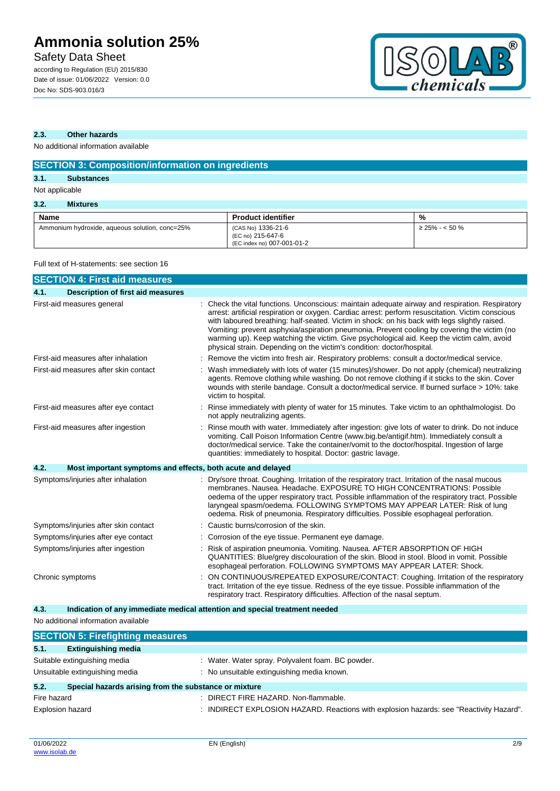Safety Data Sheet

according to Regulation (EU) 2015/830 Date of issue: 01/06/2022 Version: 0.0 Doc No: SDS-903.016/3



## **2.3. Other hazards**

No additional information available

| <b>SECTION 3: Composition/information on ingredients</b> |                                                                       |                     |  |  |
|----------------------------------------------------------|-----------------------------------------------------------------------|---------------------|--|--|
| 3.1.<br><b>Substances</b>                                |                                                                       |                     |  |  |
| Not applicable                                           |                                                                       |                     |  |  |
| 3.2.<br><b>Mixtures</b>                                  |                                                                       |                     |  |  |
| <b>Name</b>                                              | <b>Product identifier</b>                                             | %                   |  |  |
| Ammonium hydroxide, aqueous solution, conc=25%           | (CAS No) 1336-21-6<br>(EC no) 215-647-6<br>(EC index no) 007-001-01-2 | $\geq$ 25% - < 50 % |  |  |

## Full text of H-statements: see section 16

| <b>SECTION 4: First aid measures</b>                                |                                                                                                                                                                                                                                                                                                                                                                                                                                                                                                                                                                            |
|---------------------------------------------------------------------|----------------------------------------------------------------------------------------------------------------------------------------------------------------------------------------------------------------------------------------------------------------------------------------------------------------------------------------------------------------------------------------------------------------------------------------------------------------------------------------------------------------------------------------------------------------------------|
| 4.1.<br>Description of first aid measures                           |                                                                                                                                                                                                                                                                                                                                                                                                                                                                                                                                                                            |
| First-aid measures general                                          | Check the vital functions. Unconscious: maintain adequate airway and respiration. Respiratory<br>arrest: artificial respiration or oxygen. Cardiac arrest: perform resuscitation. Victim conscious<br>with laboured breathing: half-seated. Victim in shock: on his back with legs slightly raised.<br>Vomiting: prevent asphyxia/aspiration pneumonia. Prevent cooling by covering the victim (no<br>warming up). Keep watching the victim. Give psychological aid. Keep the victim calm, avoid<br>physical strain. Depending on the victim's condition: doctor/hospital. |
| First-aid measures after inhalation                                 | Remove the victim into fresh air. Respiratory problems: consult a doctor/medical service.                                                                                                                                                                                                                                                                                                                                                                                                                                                                                  |
| First-aid measures after skin contact                               | Wash immediately with lots of water (15 minutes)/shower. Do not apply (chemical) neutralizing<br>agents. Remove clothing while washing. Do not remove clothing if it sticks to the skin. Cover<br>wounds with sterile bandage. Consult a doctor/medical service. If burned surface > 10%: take<br>victim to hospital.                                                                                                                                                                                                                                                      |
| First-aid measures after eye contact                                | Rinse immediately with plenty of water for 15 minutes. Take victim to an ophthalmologist. Do<br>not apply neutralizing agents.                                                                                                                                                                                                                                                                                                                                                                                                                                             |
| First-aid measures after ingestion                                  | Rinse mouth with water. Immediately after ingestion: give lots of water to drink. Do not induce<br>vomiting. Call Poison Information Centre (www.big.be/antigif.htm). Immediately consult a<br>doctor/medical service. Take the container/vomit to the doctor/hospital. Ingestion of large<br>quantities: immediately to hospital. Doctor: gastric lavage.                                                                                                                                                                                                                 |
| 4.2.<br>Most important symptoms and effects, both acute and delayed |                                                                                                                                                                                                                                                                                                                                                                                                                                                                                                                                                                            |
| Symptoms/injuries after inhalation                                  | Dry/sore throat. Coughing. Irritation of the respiratory tract. Irritation of the nasal mucous<br>membranes, Nausea, Headache, EXPOSURE TO HIGH CONCENTRATIONS: Possible<br>oedema of the upper respiratory tract. Possible inflammation of the respiratory tract. Possible<br>laryngeal spasm/oedema. FOLLOWING SYMPTOMS MAY APPEAR LATER: Risk of lung<br>oedema. Risk of pneumonia. Respiratory difficulties. Possible esophageal perforation.                                                                                                                          |
| Symptoms/injuries after skin contact                                | Caustic burns/corrosion of the skin.                                                                                                                                                                                                                                                                                                                                                                                                                                                                                                                                       |
| Symptoms/injuries after eye contact                                 | Corrosion of the eye tissue. Permanent eye damage.                                                                                                                                                                                                                                                                                                                                                                                                                                                                                                                         |
| Symptoms/injuries after ingestion                                   | Risk of aspiration pneumonia. Vomiting. Nausea. AFTER ABSORPTION OF HIGH<br>QUANTITIES: Blue/grey discolouration of the skin. Blood in stool. Blood in vomit. Possible<br>esophageal perforation. FOLLOWING SYMPTOMS MAY APPEAR LATER: Shock.                                                                                                                                                                                                                                                                                                                              |
| Chronic symptoms                                                    | ON CONTINUOUS/REPEATED EXPOSURE/CONTACT: Coughing. Irritation of the respiratory<br>tract. Irritation of the eye tissue. Redness of the eye tissue. Possible inflammation of the<br>respiratory tract. Respiratory difficulties. Affection of the nasal septum.                                                                                                                                                                                                                                                                                                            |

**4.3. Indication of any immediate medical attention and special treatment needed**

No additional information available

| <b>SECTION 5: Firefighting measures</b>                       |                                                                                       |  |  |
|---------------------------------------------------------------|---------------------------------------------------------------------------------------|--|--|
| 5.1.<br><b>Extinguishing media</b>                            |                                                                                       |  |  |
| Suitable extinguishing media                                  | : Water. Water spray. Polyvalent foam. BC powder.                                     |  |  |
| Unsuitable extinguishing media                                | : No unsuitable extinguishing media known.                                            |  |  |
| 5.2.<br>Special hazards arising from the substance or mixture |                                                                                       |  |  |
| Fire hazard                                                   | : DIRECT FIRE HAZARD. Non-flammable.                                                  |  |  |
| Explosion hazard                                              | INDIRECT EXPLOSION HAZARD. Reactions with explosion hazards: see "Reactivity Hazard". |  |  |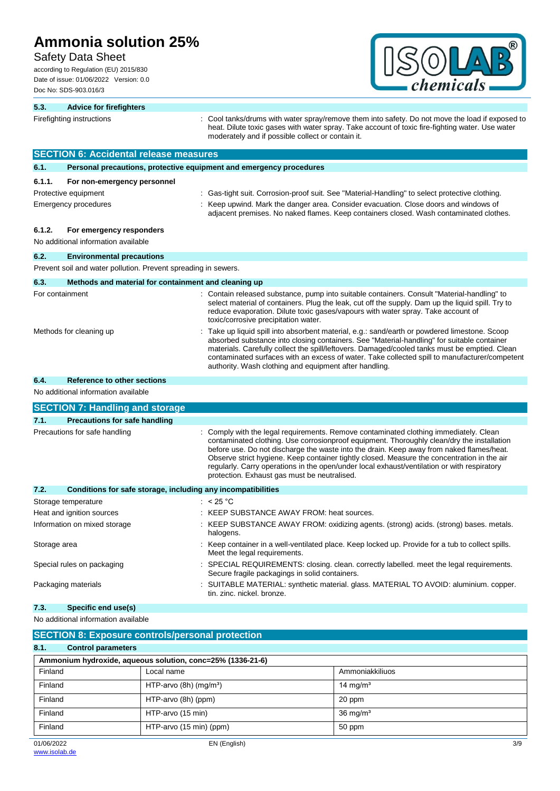## Safety Data Sheet

according to Regulation (EU) 2015/830 Date of issue: 01/06/2022 Version: 0.0 Doc No: SDS-903.016/3



| 5.3.                                                                 | <b>Advice for firefighters</b>                                                     |                                      |                                                                     |                                                                                                                                                                                                                                                                                                                                                                                                                                                                             |
|----------------------------------------------------------------------|------------------------------------------------------------------------------------|--------------------------------------|---------------------------------------------------------------------|-----------------------------------------------------------------------------------------------------------------------------------------------------------------------------------------------------------------------------------------------------------------------------------------------------------------------------------------------------------------------------------------------------------------------------------------------------------------------------|
|                                                                      | Firefighting instructions                                                          |                                      | moderately and if possible collect or contain it.                   | Cool tanks/drums with water spray/remove them into safety. Do not move the load if exposed to<br>heat. Dilute toxic gases with water spray. Take account of toxic fire-fighting water. Use water                                                                                                                                                                                                                                                                            |
|                                                                      | <b>SECTION 6: Accidental release measures</b>                                      |                                      |                                                                     |                                                                                                                                                                                                                                                                                                                                                                                                                                                                             |
| 6.1.                                                                 |                                                                                    |                                      | Personal precautions, protective equipment and emergency procedures |                                                                                                                                                                                                                                                                                                                                                                                                                                                                             |
| 6.1.1.                                                               | For non-emergency personnel<br>Protective equipment<br><b>Emergency procedures</b> |                                      |                                                                     | Gas-tight suit. Corrosion-proof suit. See "Material-Handling" to select protective clothing.<br>Keep upwind. Mark the danger area. Consider evacuation. Close doors and windows of<br>adjacent premises. No naked flames. Keep containers closed. Wash contaminated clothes.                                                                                                                                                                                                |
| 6.1.2.                                                               | For emergency responders<br>No additional information available                    |                                      |                                                                     |                                                                                                                                                                                                                                                                                                                                                                                                                                                                             |
| 6.2.                                                                 | <b>Environmental precautions</b>                                                   |                                      |                                                                     |                                                                                                                                                                                                                                                                                                                                                                                                                                                                             |
|                                                                      | Prevent soil and water pollution. Prevent spreading in sewers.                     |                                      |                                                                     |                                                                                                                                                                                                                                                                                                                                                                                                                                                                             |
| 6.3.                                                                 | Methods and material for containment and cleaning up                               |                                      |                                                                     |                                                                                                                                                                                                                                                                                                                                                                                                                                                                             |
| For containment                                                      |                                                                                    |                                      | toxic/corrosive precipitation water.                                | : Contain released substance, pump into suitable containers. Consult "Material-handling" to<br>select material of containers. Plug the leak, cut off the supply. Dam up the liquid spill. Try to<br>reduce evaporation. Dilute toxic gases/vapours with water spray. Take account of                                                                                                                                                                                        |
|                                                                      | Methods for cleaning up                                                            |                                      | authority. Wash clothing and equipment after handling.              | Take up liquid spill into absorbent material, e.g.: sand/earth or powdered limestone. Scoop<br>absorbed substance into closing containers. See "Material-handling" for suitable container<br>materials. Carefully collect the spill/leftovers. Damaged/cooled tanks must be emptied. Clean<br>contaminated surfaces with an excess of water. Take collected spill to manufacturer/competent                                                                                 |
| 6.4.                                                                 | Reference to other sections                                                        |                                      |                                                                     |                                                                                                                                                                                                                                                                                                                                                                                                                                                                             |
|                                                                      | No additional information available                                                |                                      |                                                                     |                                                                                                                                                                                                                                                                                                                                                                                                                                                                             |
|                                                                      | <b>SECTION 7: Handling and storage</b>                                             |                                      |                                                                     |                                                                                                                                                                                                                                                                                                                                                                                                                                                                             |
| 7.1.                                                                 | <b>Precautions for safe handling</b>                                               |                                      |                                                                     |                                                                                                                                                                                                                                                                                                                                                                                                                                                                             |
|                                                                      | Precautions for safe handling                                                      |                                      | protection. Exhaust gas must be neutralised.                        | Comply with the legal requirements. Remove contaminated clothing immediately. Clean<br>contaminated clothing. Use corrosionproof equipment. Thoroughly clean/dry the installation<br>before use. Do not discharge the waste into the drain. Keep away from naked flames/heat.<br>Observe strict hygiene. Keep container tightly closed. Measure the concentration in the air<br>regularly. Carry operations in the open/under local exhaust/ventilation or with respiratory |
| 7.2.<br>Conditions for safe storage, including any incompatibilities |                                                                                    |                                      |                                                                     |                                                                                                                                                                                                                                                                                                                                                                                                                                                                             |
|                                                                      | Storage temperature                                                                |                                      | : $< 25 °C$                                                         |                                                                                                                                                                                                                                                                                                                                                                                                                                                                             |
|                                                                      | Heat and ignition sources<br>Information on mixed storage                          |                                      | : KEEP SUBSTANCE AWAY FROM: heat sources.<br>halogens.              | KEEP SUBSTANCE AWAY FROM: oxidizing agents. (strong) acids. (strong) bases. metals.                                                                                                                                                                                                                                                                                                                                                                                         |
| Storage area                                                         |                                                                                    |                                      | Meet the legal requirements.                                        | Keep container in a well-ventilated place. Keep locked up. Provide for a tub to collect spills.                                                                                                                                                                                                                                                                                                                                                                             |
|                                                                      | Special rules on packaging                                                         |                                      | Secure fragile packagings in solid containers.                      | SPECIAL REQUIREMENTS: closing. clean. correctly labelled. meet the legal requirements.                                                                                                                                                                                                                                                                                                                                                                                      |
|                                                                      | Packaging materials                                                                |                                      | tin, zinc, nickel, bronze.                                          | SUITABLE MATERIAL: synthetic material. glass. MATERIAL TO AVOID: aluminium. copper.                                                                                                                                                                                                                                                                                                                                                                                         |
| 7.3.                                                                 | Specific end use(s)                                                                |                                      |                                                                     |                                                                                                                                                                                                                                                                                                                                                                                                                                                                             |
|                                                                      | No additional information available                                                |                                      |                                                                     |                                                                                                                                                                                                                                                                                                                                                                                                                                                                             |
|                                                                      | <b>SECTION 8: Exposure controls/personal protection</b>                            |                                      |                                                                     |                                                                                                                                                                                                                                                                                                                                                                                                                                                                             |
| 8.1.                                                                 | <b>Control parameters</b>                                                          |                                      |                                                                     |                                                                                                                                                                                                                                                                                                                                                                                                                                                                             |
|                                                                      | Ammonium hydroxide, aqueous solution, conc=25% (1336-21-6)                         |                                      |                                                                     |                                                                                                                                                                                                                                                                                                                                                                                                                                                                             |
| Finland                                                              |                                                                                    | Local name                           |                                                                     | Ammoniakkiliuos                                                                                                                                                                                                                                                                                                                                                                                                                                                             |
| Finland                                                              |                                                                                    | HTP-arvo $(8h)$ (mg/m <sup>3</sup> ) |                                                                     | 14 mg/ $m3$                                                                                                                                                                                                                                                                                                                                                                                                                                                                 |
| Finland                                                              |                                                                                    | HTP-arvo (8h) (ppm)                  |                                                                     | 20 ppm                                                                                                                                                                                                                                                                                                                                                                                                                                                                      |

Finland HTP-arvo (15 min) 36 mg/m<sup>3</sup> Finland HTP-arvo (15 min) (ppm) 50 ppm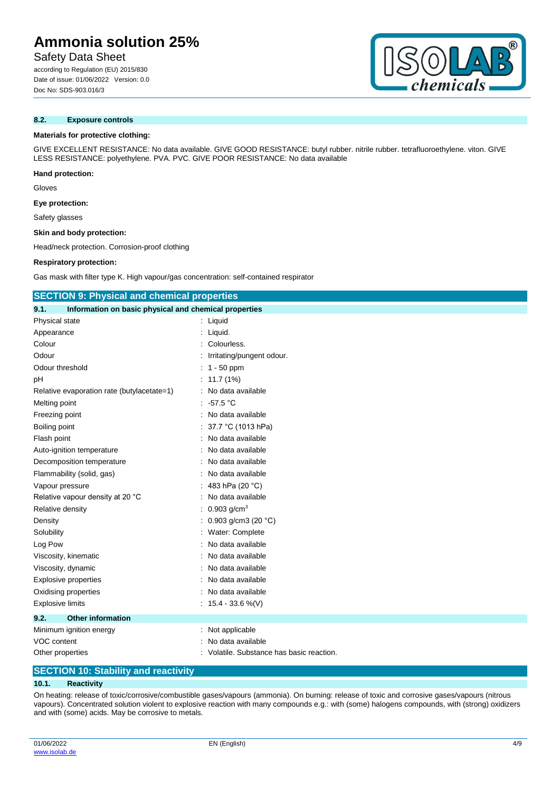## Safety Data Sheet

according to Regulation (EU) 2015/830 Date of issue: 01/06/2022 Version: 0.0 Doc No: SDS-903.016/3

## **8.2. Exposure controls**

### **Materials for protective clothing:**

GIVE EXCELLENT RESISTANCE: No data available. GIVE GOOD RESISTANCE: butyl rubber. nitrile rubber. tetrafluoroethylene. viton. GIVE LESS RESISTANCE: polyethylene. PVA. PVC. GIVE POOR RESISTANCE: No data available

**Hand protection:**

Gloves

**Eye protection:**

Safety glasses

**Skin and body protection:**

Head/neck protection. Corrosion-proof clothing

### **Respiratory protection:**

Gas mask with filter type K. High vapour/gas concentration: self-contained respirator

| <b>SECTION 9: Physical and chemical properties</b>            |                                         |  |  |
|---------------------------------------------------------------|-----------------------------------------|--|--|
| 9.1.<br>Information on basic physical and chemical properties |                                         |  |  |
| Physical state                                                | : Liquid                                |  |  |
| Appearance                                                    | Liquid.                                 |  |  |
| Colour                                                        | Colourless.                             |  |  |
| Odour                                                         | Irritating/pungent odour.               |  |  |
| Odour threshold                                               | $1 - 50$ ppm                            |  |  |
| pH                                                            | 11.7 (1%)                               |  |  |
| Relative evaporation rate (butylacetate=1)                    | No data available                       |  |  |
| Melting point                                                 | $-57.5 °C$                              |  |  |
| Freezing point                                                | No data available                       |  |  |
| Boiling point                                                 | 37.7 °C (1013 hPa)                      |  |  |
| Flash point                                                   | No data available                       |  |  |
| Auto-ignition temperature                                     | No data available                       |  |  |
| Decomposition temperature                                     | No data available                       |  |  |
| Flammability (solid, gas)                                     | No data available                       |  |  |
| Vapour pressure                                               | 483 hPa (20 °C)                         |  |  |
| Relative vapour density at 20 °C                              | No data available                       |  |  |
| Relative density                                              | 0.903 $g/cm3$                           |  |  |
| Density                                                       | 0.903 g/cm3 (20 °C)                     |  |  |
| Solubility                                                    | Water: Complete                         |  |  |
| Log Pow                                                       | No data available                       |  |  |
| Viscosity, kinematic                                          | No data available                       |  |  |
| Viscosity, dynamic                                            | No data available                       |  |  |
| <b>Explosive properties</b>                                   | No data available                       |  |  |
| Oxidising properties                                          | No data available                       |  |  |
| <b>Explosive limits</b>                                       | : $15.4 - 33.6 %$ (V)                   |  |  |
| <b>Other information</b><br>9.2.                              |                                         |  |  |
| Minimum ignition energy                                       | Not applicable                          |  |  |
| VOC content                                                   | No data available                       |  |  |
| Other properties                                              | Volatile. Substance has basic reaction. |  |  |

## **SECTION 10: Stability and reactivity**

### **10.1. Reactivity**

On heating: release of toxic/corrosive/combustible gases/vapours (ammonia). On burning: release of toxic and corrosive gases/vapours (nitrous vapours). Concentrated solution violent to explosive reaction with many compounds e.g.: with (some) halogens compounds, with (strong) oxidizers and with (some) acids. May be corrosive to metals.



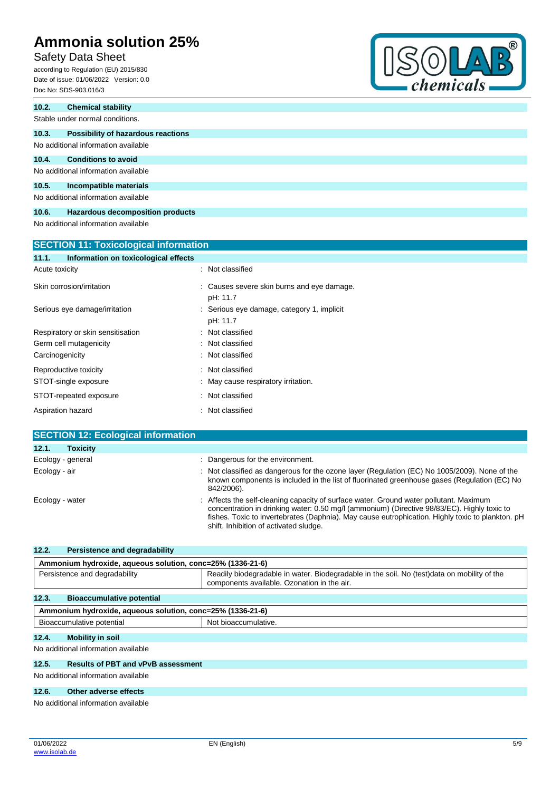## Safety Data Sheet

according to Regulation (EU) 2015/830 Date of issue: 01/06/2022 Version: 0.0 Doc No: SDS-903.016/3



| 10.2.          | <b>Chemical stability</b>                    |                                                           |  |  |  |  |
|----------------|----------------------------------------------|-----------------------------------------------------------|--|--|--|--|
|                | Stable under normal conditions.              |                                                           |  |  |  |  |
| 10.3.          | Possibility of hazardous reactions           |                                                           |  |  |  |  |
|                | No additional information available          |                                                           |  |  |  |  |
| 10.4.          | <b>Conditions to avoid</b>                   |                                                           |  |  |  |  |
|                | No additional information available          |                                                           |  |  |  |  |
| 10.5.          | Incompatible materials                       |                                                           |  |  |  |  |
|                | No additional information available          |                                                           |  |  |  |  |
| 10.6.          | Hazardous decomposition products             |                                                           |  |  |  |  |
|                | No additional information available          |                                                           |  |  |  |  |
|                | <b>SECTION 11: Toxicological information</b> |                                                           |  |  |  |  |
| 11.1.          | Information on toxicological effects         |                                                           |  |  |  |  |
|                |                                              |                                                           |  |  |  |  |
| Acute toxicity |                                              | : Not classified                                          |  |  |  |  |
|                | Skin corrosion/irritation                    | Causes severe skin burns and eye damage.<br>÷<br>pH: 11.7 |  |  |  |  |
|                | Serious eye damage/irritation                | Serious eye damage, category 1, implicit<br>pH: 11.7      |  |  |  |  |
|                | Respiratory or skin sensitisation            | Not classified<br>٠                                       |  |  |  |  |
|                | Germ cell mutagenicity                       | Not classified                                            |  |  |  |  |

| Acute toxicity                            | : Not classified                                       |
|-------------------------------------------|--------------------------------------------------------|
| Skin corrosion/irritation                 | : Causes severe skin burns and eye damage.<br>pH: 11.7 |
| Serious eye damage/irritation             | : Serious eye damage, category 1, implicit<br>pH: 11.7 |
| Respiratory or skin sensitisation         | : Not classified                                       |
| Germ cell mutagenicity                    | : Not classified                                       |
| Carcinogenicity                           | : Not classified                                       |
| Reproductive toxicity                     | : Not classified                                       |
| STOT-single exposure                      | : May cause respiratory irritation.                    |
| STOT-repeated exposure                    | : Not classified                                       |
| Aspiration hazard                         | : Not classified                                       |
| <b>SECTION 12: Ecological information</b> |                                                        |
| 12.1.<br><b>Toxicity</b>                  |                                                        |
| Ecology - general                         | : Dangerous for the environment.                       |

| Ecology - air   | : Not classified as dangerous for the ozone layer (Regulation (EC) No 1005/2009). None of the<br>known components is included in the list of fluorinated greenhouse gases (Regulation (EC) No<br>842/2006).                                                                                                                         |
|-----------------|-------------------------------------------------------------------------------------------------------------------------------------------------------------------------------------------------------------------------------------------------------------------------------------------------------------------------------------|
| Ecology - water | : Affects the self-cleaning capacity of surface water. Ground water pollutant. Maximum<br>concentration in drinking water: 0.50 mg/l (ammonium) (Directive 98/83/EC). Highly toxic to<br>fishes. Toxic to invertebrates (Daphnia). May cause eutrophication. Highly toxic to plankton. pH<br>shift. Inhibition of activated sludge. |

| 12.2.                         | Persistence and degradability                              |                                                                                                                                             |  |
|-------------------------------|------------------------------------------------------------|---------------------------------------------------------------------------------------------------------------------------------------------|--|
|                               | Ammonium hydroxide, aqueous solution, conc=25% (1336-21-6) |                                                                                                                                             |  |
| Persistence and degradability |                                                            | Readily biodegradable in water. Biodegradable in the soil. No (test) data on mobility of the<br>components available. Ozonation in the air. |  |
| 12.3.                         | <b>Bioaccumulative potential</b>                           |                                                                                                                                             |  |
|                               | Ammonium hydroxide, aqueous solution, conc=25% (1336-21-6) |                                                                                                                                             |  |
|                               | Bioaccumulative potential                                  | Not bioaccumulative.                                                                                                                        |  |
| 12.4.                         | <b>Mobility in soil</b>                                    |                                                                                                                                             |  |
|                               | No additional information available                        |                                                                                                                                             |  |
| 12.5.                         | <b>Results of PBT and vPvB assessment</b>                  |                                                                                                                                             |  |

No additional information available

## **12.6. Other adverse effects**

No additional information available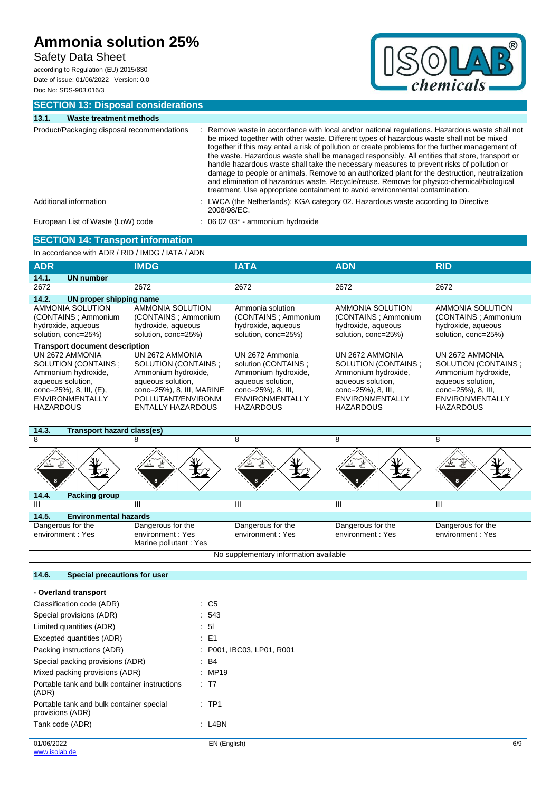## Safety Data Sheet

according to Regulation (EU) 2015/830 Date of issue: 01/06/2022 Version: 0.0 Doc No: SDS-903.016/3



**SECTION 13: Disposal considerations**

### **13.1. Waste treatment methods**

| Product/Packaging disposal recommendations | Remove waste in accordance with local and/or national regulations. Hazardous waste shall not<br>be mixed together with other waste. Different types of hazardous waste shall not be mixed<br>together if this may entail a risk of pollution or create problems for the further management of<br>the waste. Hazardous waste shall be managed responsibly. All entities that store, transport or<br>handle hazardous waste shall take the necessary measures to prevent risks of pollution or<br>damage to people or animals. Remove to an authorized plant for the destruction, neutralization<br>and elimination of hazardous waste. Recycle/reuse. Remove for physico-chemical/biological<br>treatment. Use appropriate containment to avoid environmental contamination. |
|--------------------------------------------|-----------------------------------------------------------------------------------------------------------------------------------------------------------------------------------------------------------------------------------------------------------------------------------------------------------------------------------------------------------------------------------------------------------------------------------------------------------------------------------------------------------------------------------------------------------------------------------------------------------------------------------------------------------------------------------------------------------------------------------------------------------------------------|
| Additional information                     | : LWCA (the Netherlands): KGA category 02. Hazardous waste according to Directive<br>2008/98/EC.                                                                                                                                                                                                                                                                                                                                                                                                                                                                                                                                                                                                                                                                            |
| European List of Waste (LoW) code          | $\therefore$ 06 02 03 $^*$ - ammonium hydroxide                                                                                                                                                                                                                                                                                                                                                                                                                                                                                                                                                                                                                                                                                                                             |

## **SECTION 14: Transport information**

In accordance with ADR / RID / IMDG / IATA / ADN

| <b>ADR</b>                                                                                                                                                  | <b>IMDG</b>                                                                                                                                                       | <b>IATA</b>                                                                                                                                     | <b>ADN</b>                                                                                                                                             | <b>RID</b>                                                                                                                                              |
|-------------------------------------------------------------------------------------------------------------------------------------------------------------|-------------------------------------------------------------------------------------------------------------------------------------------------------------------|-------------------------------------------------------------------------------------------------------------------------------------------------|--------------------------------------------------------------------------------------------------------------------------------------------------------|---------------------------------------------------------------------------------------------------------------------------------------------------------|
| 14.1.<br><b>UN</b> number                                                                                                                                   |                                                                                                                                                                   |                                                                                                                                                 |                                                                                                                                                        |                                                                                                                                                         |
| 2672                                                                                                                                                        | 2672                                                                                                                                                              | 2672                                                                                                                                            | 2672                                                                                                                                                   | 2672                                                                                                                                                    |
| 14.2.<br>UN proper shipping name                                                                                                                            |                                                                                                                                                                   |                                                                                                                                                 |                                                                                                                                                        |                                                                                                                                                         |
| AMMONIA SOLUTION<br>(CONTAINS ; Ammonium<br>hydroxide, aqueous<br>solution, conc=25%)                                                                       | <b>AMMONIA SOLUTION</b><br>(CONTAINS : Ammonium<br>hydroxide, aqueous<br>solution, conc=25%)                                                                      | Ammonia solution<br>(CONTAINS : Ammonium<br>hydroxide, aqueous<br>solution, conc=25%)                                                           | AMMONIA SOLUTION<br>(CONTAINS : Ammonium<br>hydroxide, aqueous<br>solution, conc=25%)                                                                  | AMMONIA SOLUTION<br>(CONTAINS ; Ammonium<br>hydroxide, aqueous<br>solution, conc=25%)                                                                   |
| <b>Transport document description</b>                                                                                                                       |                                                                                                                                                                   |                                                                                                                                                 |                                                                                                                                                        |                                                                                                                                                         |
| UN 2672 AMMONIA<br>SOLUTION (CONTAINS;<br>Ammonium hydroxide,<br>aqueous solution,<br>conc=25%), 8, III, (E),<br><b>ENVIRONMENTALLY</b><br><b>HAZARDOUS</b> | UN 2672 AMMONIA<br>SOLUTION (CONTAINS;<br>Ammonium hydroxide,<br>aqueous solution,<br>conc=25%), 8, III, MARINE<br>POLLUTANT/ENVIRONM<br><b>ENTALLY HAZARDOUS</b> | UN 2672 Ammonia<br>solution (CONTAINS;<br>Ammonium hydroxide,<br>aqueous solution,<br>conc=25%), 8, III,<br>ENVIRONMENTALLY<br><b>HAZARDOUS</b> | UN 2672 AMMONIA<br>SOLUTION (CONTAINS;<br>Ammonium hydroxide,<br>aqueous solution,<br>conc=25%), 8, III,<br><b>ENVIRONMENTALLY</b><br><b>HAZARDOUS</b> | UN 2672 AMMONIA<br>SOLUTION (CONTAINS ;<br>Ammonium hydroxide,<br>aqueous solution,<br>conc=25%), 8, III,<br><b>ENVIRONMENTALLY</b><br><b>HAZARDOUS</b> |
| 14.3.<br><b>Transport hazard class(es)</b>                                                                                                                  |                                                                                                                                                                   |                                                                                                                                                 |                                                                                                                                                        |                                                                                                                                                         |
| 8                                                                                                                                                           | 8                                                                                                                                                                 | 8                                                                                                                                               | 8                                                                                                                                                      | 8                                                                                                                                                       |
|                                                                                                                                                             |                                                                                                                                                                   |                                                                                                                                                 |                                                                                                                                                        |                                                                                                                                                         |
| 14.4.<br><b>Packing group</b>                                                                                                                               |                                                                                                                                                                   |                                                                                                                                                 |                                                                                                                                                        |                                                                                                                                                         |
| Ш                                                                                                                                                           | Ш                                                                                                                                                                 | $\mathbf{H}$                                                                                                                                    | $\mathbf{III}$                                                                                                                                         | $\mathbf{H}$                                                                                                                                            |
| <b>Environmental hazards</b><br>14.5.                                                                                                                       |                                                                                                                                                                   |                                                                                                                                                 |                                                                                                                                                        |                                                                                                                                                         |
| Dangerous for the<br>environment: Yes                                                                                                                       | Dangerous for the<br>environment: Yes<br>Marine pollutant: Yes                                                                                                    | Dangerous for the<br>environment: Yes                                                                                                           | Dangerous for the<br>environment: Yes                                                                                                                  | Dangerous for the<br>environment: Yes                                                                                                                   |
|                                                                                                                                                             | No supplementary information available                                                                                                                            |                                                                                                                                                 |                                                                                                                                                        |                                                                                                                                                         |

## **14.6. Special precautions for user**

| - Overland transport                                         |                           |     |
|--------------------------------------------------------------|---------------------------|-----|
| Classification code (ADR)                                    | $\therefore$ C5           |     |
| Special provisions (ADR)                                     | : 543                     |     |
| Limited quantities (ADR)                                     | $\therefore$ 5            |     |
| Excepted quantities (ADR)                                    | : E1                      |     |
| Packing instructions (ADR)                                   | : P001, IBC03, LP01, R001 |     |
| Special packing provisions (ADR)                             | $\therefore$ B4           |     |
| Mixed packing provisions (ADR)                               | : MP19                    |     |
| Portable tank and bulk container instructions<br>(ADR)       | : T7                      |     |
| Portable tank and bulk container special<br>provisions (ADR) | :TP1                      |     |
| Tank code (ADR)                                              | $:$ L4BN                  |     |
| 01/06/2022                                                   | EN (English)              | 6/9 |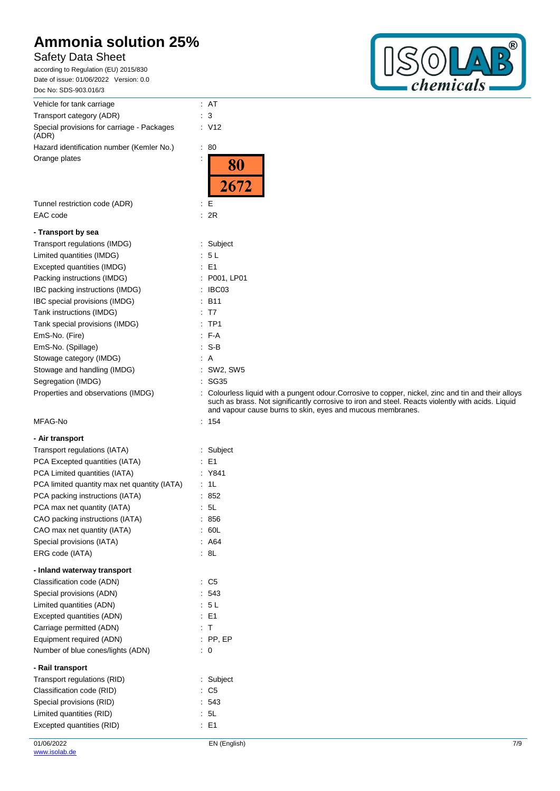## Safety Data Sheet

according to Regulation (EU) 2015/830 Date of issue: 01/06/2022 Version: 0.0 Doc No: SDS-903.016/3 Vehicle for tank carriage  $\cdot$  AT Transport category (ADR) **: 3** Special provisions for carriage - Pack (ADR) Hazard identification number (Kemle Orange plates : Tunnel restriction code (ADR) EAC code

### **- Transport by sea**

| Transport regulations (IMDG)       | : Subject           |
|------------------------------------|---------------------|
| Limited quantities (IMDG)          | : 5 L               |
| Excepted quantities (IMDG)         | : E1                |
| Packing instructions (IMDG)        | : P001, LP01        |
| IBC packing instructions (IMDG)    | IBC03               |
| IBC special provisions (IMDG)      | $:$ B <sub>11</sub> |
| Tank instructions (IMDG)           | : T7                |
| Tank special provisions (IMDG)     | $:$ TP1             |
| EmS-No. (Fire)                     | $F-A$               |
| EmS-No. (Spillage)                 | : S-B               |
| Stowage category (IMDG)            | : A                 |
| Stowage and handling (IMDG)        | : SW2, SW5          |
| Segregation (IMDG)                 | : SG35              |
| Properties and observations (IMDG) | Colourless I        |

### MFAG-No

|  | - Air transport |  |
|--|-----------------|--|
|  |                 |  |

| Transport regulations (IATA)<br>: Subject    |                          |                |
|----------------------------------------------|--------------------------|----------------|
| PCA Excepted quantities (IATA)               | ۰.                       | E1             |
| PCA Limited quantities (IATA)                |                          | : Y841         |
| PCA limited quantity max net quantity (IATA) |                          | 1L             |
| PCA packing instructions (IATA)              |                          | 852            |
| PCA max net quantity (IATA)                  | ÷                        | 5L             |
| CAO packing instructions (IATA)              |                          | 856            |
| CAO max net quantity (IATA)                  | $\overline{\phantom{a}}$ | 60L            |
| Special provisions (IATA)                    |                          | A64            |
| ERG code (IATA)                              | ÷                        | 8L             |
| - Inland waterway transport                  |                          |                |
| Classification code (ADN)                    |                          | C <sub>5</sub> |
| Special provisions (ADN)                     |                          | 543            |
| Limited quantities (ADN)                     |                          | 5L             |
| Excepted quantities (ADN)                    |                          | $E = 1$        |
| Carriage permitted (ADN)                     | $\bullet$                | $\mathsf{T}$   |
| Equipment required (ADN)                     |                          | $:$ PP, EP     |
| Number of blue cones/lights (ADN)            | ÷.                       | 0              |
| - Rail transport                             |                          |                |
| Transport regulations (RID)                  |                          | Subject        |
| Classification code (RID)                    | ۰.                       | C <sub>5</sub> |
| Special provisions (RID)                     |                          | 543            |
| Limited quantities (RID)                     |                          |                |
| Excepted quantities (RID)                    | ۰                        | E1             |



| Special provisions for carriage - Packages<br>(ADR) | : V12                                                                                                                                                                                                                                                                   |
|-----------------------------------------------------|-------------------------------------------------------------------------------------------------------------------------------------------------------------------------------------------------------------------------------------------------------------------------|
| Hazard identification number (Kemler No.)           | $\therefore 80$                                                                                                                                                                                                                                                         |
| Orange plates                                       | 80<br>2672                                                                                                                                                                                                                                                              |
| Tunnel restriction code (ADR)                       | ÷Е                                                                                                                                                                                                                                                                      |
| EAC code                                            | : 2R                                                                                                                                                                                                                                                                    |
| - Transport by sea                                  |                                                                                                                                                                                                                                                                         |
| Transport regulations (IMDG)                        | : Subject                                                                                                                                                                                                                                                               |
| Limited quantities (IMDG)                           | : 5L                                                                                                                                                                                                                                                                    |
| Excepted quantities (IMDG)                          | $\therefore$ E1                                                                                                                                                                                                                                                         |
| Packing instructions (IMDG)                         | : P001, LP01                                                                                                                                                                                                                                                            |
| IBC packing instructions (IMDG)                     | : IBCO3                                                                                                                                                                                                                                                                 |
| IBC special provisions (IMDG)                       | $\therefore$ B11                                                                                                                                                                                                                                                        |
| Tank instructions (IMDG)                            | : T7                                                                                                                                                                                                                                                                    |
| Tank special provisions (IMDG)                      | $:$ TP1                                                                                                                                                                                                                                                                 |
| EmS-No. (Fire)                                      | $F-A$                                                                                                                                                                                                                                                                   |
| EmS-No. (Spillage)                                  | $\cdot$ S-B                                                                                                                                                                                                                                                             |
| Stowage category (IMDG)                             | : A                                                                                                                                                                                                                                                                     |
| Stowage and handling (IMDG)                         | $:$ SW2, SW5                                                                                                                                                                                                                                                            |
| Segregation (IMDG)                                  | : SG35                                                                                                                                                                                                                                                                  |
| Properties and observations (IMDG)                  | : Colourless liquid with a pungent odour. Corrosive to copper, nickel, zinc and tin and their alloys<br>such as brass. Not significantly corrosive to iron and steel. Reacts violently with acids. Liquid<br>and vapour cause burns to skin, eyes and mucous membranes. |
| MFAG-No                                             | : 154                                                                                                                                                                                                                                                                   |
| - Air transport                                     |                                                                                                                                                                                                                                                                         |
| Transport regulations (IATA)                        | : Subject                                                                                                                                                                                                                                                               |
| PCA Excepted quantities (IATA)                      | $\therefore$ E1                                                                                                                                                                                                                                                         |
| PCA Limited quantities (IATA)                       | : Y841                                                                                                                                                                                                                                                                  |
| PCA limited quantity max net quantity (IATA)        | : 1L                                                                                                                                                                                                                                                                    |
| PCA packing instructions (IATA)                     | $\therefore 852$                                                                                                                                                                                                                                                        |
| PCA max net quantity (IATA)                         | $\cdot$ 5L                                                                                                                                                                                                                                                              |
| CAO packing instructions (IATA)                     | : 856                                                                                                                                                                                                                                                                   |
| CAO max net quantity (IATA)                         | .60L                                                                                                                                                                                                                                                                    |
| Special provisions (IATA)                           | : A64                                                                                                                                                                                                                                                                   |
| ERG code (IATA)                                     | $\cdot$ 8L                                                                                                                                                                                                                                                              |
| - Inland waterway transport                         |                                                                                                                                                                                                                                                                         |
| Classification code (ADN)                           | $\therefore$ C5                                                                                                                                                                                                                                                         |
| Special provisions (ADN)                            | .543                                                                                                                                                                                                                                                                    |
| Limited quantities (ADN)                            | : 5L                                                                                                                                                                                                                                                                    |
| Excepted quantities (ADN)                           | $\therefore$ E1                                                                                                                                                                                                                                                         |
| Carriage permitted (ADN)                            | : T                                                                                                                                                                                                                                                                     |
| Equipment required (ADN)                            | $:$ PP, EP                                                                                                                                                                                                                                                              |
| Number of blue cones/lights (ADN)                   | $\therefore$ 0                                                                                                                                                                                                                                                          |
| - Rail transport                                    |                                                                                                                                                                                                                                                                         |
| Transport regulations (RID)                         | : Subject                                                                                                                                                                                                                                                               |
| Classification code (RID)                           | $\therefore$ C5                                                                                                                                                                                                                                                         |
| Special provisions (RID)                            | : 543                                                                                                                                                                                                                                                                   |
|                                                     |                                                                                                                                                                                                                                                                         |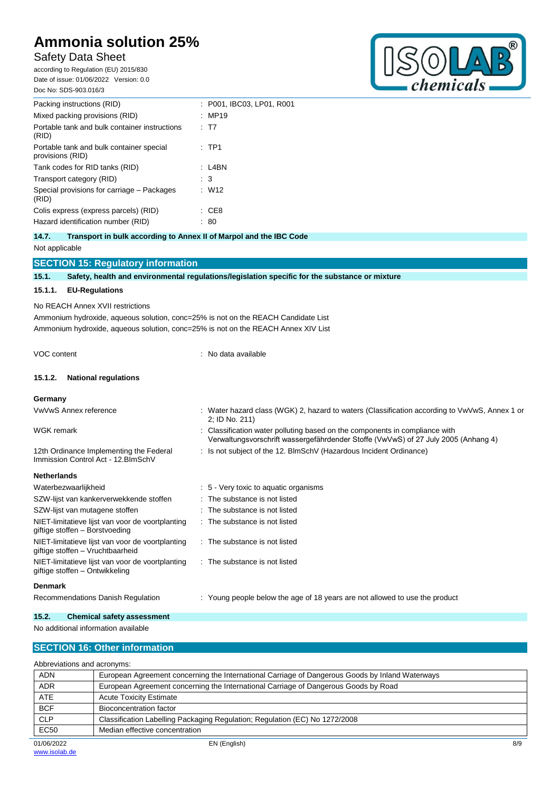## Safety Data Sheet

according to Regulation (EU) 2015/830 Date of issue: 01/06/2022 Version: 0.0 Doc No: SDS-903.016/3



| Packing instructions (RID)                                   | : P001. IBC03. LP01. R001 |
|--------------------------------------------------------------|---------------------------|
| Mixed packing provisions (RID)                               | :MP19                     |
| Portable tank and bulk container instructions<br>(RID)       | : T7                      |
| Portable tank and bulk container special<br>provisions (RID) | : TP1                     |
| Tank codes for RID tanks (RID)                               | : L4BN                    |
| Transport category (RID)                                     | : 3                       |
| Special provisions for carriage – Packages<br>(RID)          | : W12                     |
| Colis express (express parcels) (RID)                        | : CE8                     |
| Hazard identification number (RID)                           | 80                        |

**14.7. Transport in bulk according to Annex II of Marpol and the IBC Code** Not applicable

|       | <b>SECTION 15: Regulatory information</b>                                                      |
|-------|------------------------------------------------------------------------------------------------|
| 15.1. | Safety, health and environmental regulations/legislation specific for the substance or mixture |
|       | 15.1.1. EU-Regulations                                                                         |

No REACH Annex XVII restrictions

Ammonium hydroxide, aqueous solution, conc=25% is not on the REACH Candidate List Ammonium hydroxide, aqueous solution, conc=25% is not on the REACH Annex XIV List

VOC content : No data available

### **15.1.2. National regulations**

12th Ordinance Implementing the Federal Immission Control Act - 12.BImSchV

#### **Germany**

- VwVwS Annex reference : Water hazard class (WGK) 2, hazard to waters (Classification according to VwVwS, Annex 1 or 2; ID No. 211) WGK remark **in the components in compliance with**  $\cdot$  Classification water polluting based on the components in compliance with
	- Verwaltungsvorschrift wassergefährdender Stoffe (VwVwS) of 27 July 2005 (Anhang 4)
	- : Is not subject of the 12. BlmSchV (Hazardous Incident Ordinance)

| Waterbezwaarlijkheid                                                                 | : 5 Very toxic to aquatic organisms                                         |
|--------------------------------------------------------------------------------------|-----------------------------------------------------------------------------|
| SZW-lijst van kankerverwekkende stoffen                                              | : The substance is not listed                                               |
| SZW-lijst van mutagene stoffen                                                       | : The substance is not listed                                               |
| NIET-limitatieve lijst van voor de voortplanting<br>giftige stoffen - Borstvoeding   | $\therefore$ The substance is not listed                                    |
| NIET-limitatieve lijst van voor de voortplanting<br>giftige stoffen - Vruchtbaarheid | $\therefore$ The substance is not listed                                    |
| NIET-limitatieve lijst van voor de voortplanting<br>giftige stoffen – Ontwikkeling   | $\therefore$ The substance is not listed                                    |
| <b>Denmark</b>                                                                       |                                                                             |
| Recommendations Danish Regulation                                                    | : Young people below the age of 18 years are not allowed to use the product |

### **15.2. Chemical safety assessment**

No additional information available

## **SECTION 16: Other information**

EN (English) 8/9 Abbreviations and acronyms: ADN European Agreement concerning the International Carriage of Dangerous Goods by Inland Waterways ADR European Agreement concerning the International Carriage of Dangerous Goods by Road ATE Acute Toxicity Estimate BCF Bioconcentration factor CLP Classification Labelling Packaging Regulation; Regulation (EC) No 1272/2008 EC50 Median effective concentration